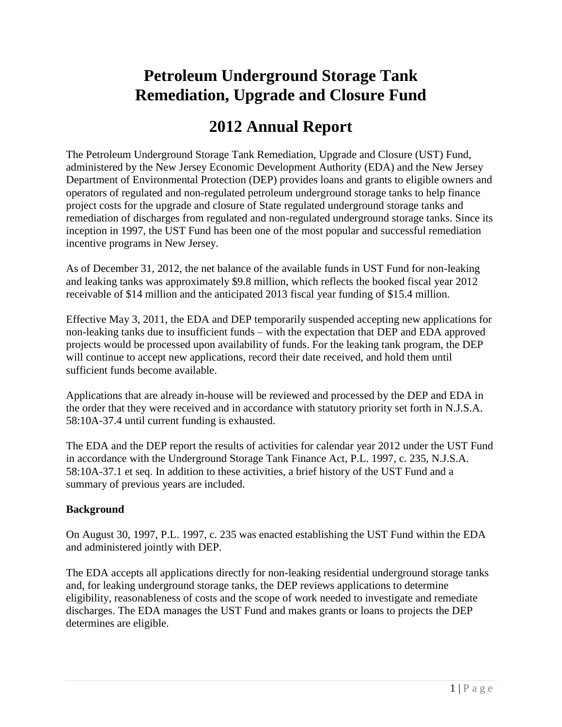# **Petroleum Underground Storage Tank Remediation, Upgrade and Closure Fund**

# **2012 Annual Report**

The Petroleum Underground Storage Tank Remediation, Upgrade and Closure (UST) Fund, administered by the New Jersey Economic Development Authority (EDA) and the New Jersey Department of Environmental Protection (DEP) provides loans and grants to eligible owners and operators of regulated and non-regulated petroleum underground storage tanks to help finance project costs for the upgrade and closure of State regulated underground storage tanks and remediation of discharges from regulated and non-regulated underground storage tanks. Since its inception in 1997, the UST Fund has been one of the most popular and successful remediation incentive programs in New Jersey.

As of December 31, 2012, the net balance of the available funds in UST Fund for non-leaking and leaking tanks was approximately \$9.8 million, which reflects the booked fiscal year 2012 receivable of \$14 million and the anticipated 2013 fiscal year funding of \$15.4 million.

Effective May 3, 2011, the EDA and DEP temporarily suspended accepting new applications for non-leaking tanks due to insufficient funds – with the expectation that DEP and EDA approved projects would be processed upon availability of funds. For the leaking tank program, the DEP will continue to accept new applications, record their date received, and hold them until sufficient funds become available.

Applications that are already in-house will be reviewed and processed by the DEP and EDA in the order that they were received and in accordance with statutory priority set forth in N.J.S.A. 58:10A-37.4 until current funding is exhausted.

The EDA and the DEP report the results of activities for calendar year 2012 under the UST Fund in accordance with the Underground Storage Tank Finance Act, P.L. 1997, c. 235, N.J.S.A. 58:10A-37.1 et seq. In addition to these activities, a brief history of the UST Fund and a summary of previous years are included.

# **Background**

On August 30, 1997, P.L. 1997, c. 235 was enacted establishing the UST Fund within the EDA and administered jointly with DEP.

The EDA accepts all applications directly for non-leaking residential underground storage tanks and, for leaking underground storage tanks, the DEP reviews applications to determine eligibility, reasonableness of costs and the scope of work needed to investigate and remediate discharges. The EDA manages the UST Fund and makes grants or loans to projects the DEP determines are eligible.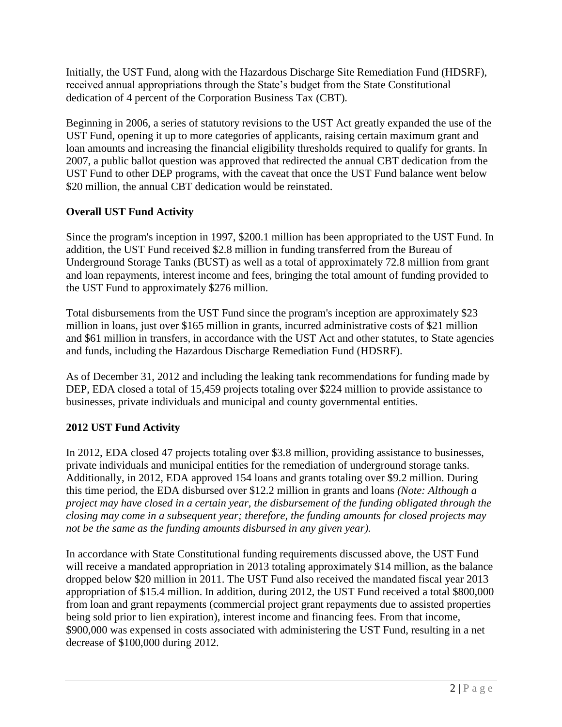Initially, the UST Fund, along with the Hazardous Discharge Site Remediation Fund (HDSRF), received annual appropriations through the State's budget from the State Constitutional dedication of 4 percent of the Corporation Business Tax (CBT).

Beginning in 2006, a series of statutory revisions to the UST Act greatly expanded the use of the UST Fund, opening it up to more categories of applicants, raising certain maximum grant and loan amounts and increasing the financial eligibility thresholds required to qualify for grants. In 2007, a public ballot question was approved that redirected the annual CBT dedication from the UST Fund to other DEP programs, with the caveat that once the UST Fund balance went below \$20 million, the annual CBT dedication would be reinstated.

# **Overall UST Fund Activity**

Since the program's inception in 1997, \$200.1 million has been appropriated to the UST Fund. In addition, the UST Fund received \$2.8 million in funding transferred from the Bureau of Underground Storage Tanks (BUST) as well as a total of approximately 72.8 million from grant and loan repayments, interest income and fees, bringing the total amount of funding provided to the UST Fund to approximately \$276 million.

Total disbursements from the UST Fund since the program's inception are approximately \$23 million in loans, just over \$165 million in grants, incurred administrative costs of \$21 million and \$61 million in transfers, in accordance with the UST Act and other statutes, to State agencies and funds, including the Hazardous Discharge Remediation Fund (HDSRF).

As of December 31, 2012 and including the leaking tank recommendations for funding made by DEP, EDA closed a total of 15,459 projects totaling over \$224 million to provide assistance to businesses, private individuals and municipal and county governmental entities.

# **2012 UST Fund Activity**

In 2012, EDA closed 47 projects totaling over \$3.8 million, providing assistance to businesses, private individuals and municipal entities for the remediation of underground storage tanks. Additionally, in 2012, EDA approved 154 loans and grants totaling over \$9.2 million. During this time period, the EDA disbursed over \$12.2 million in grants and loans *(Note: Although a project may have closed in a certain year, the disbursement of the funding obligated through the closing may come in a subsequent year; therefore, the funding amounts for closed projects may not be the same as the funding amounts disbursed in any given year).*

In accordance with State Constitutional funding requirements discussed above, the UST Fund will receive a mandated appropriation in 2013 totaling approximately \$14 million, as the balance dropped below \$20 million in 2011. The UST Fund also received the mandated fiscal year 2013 appropriation of \$15.4 million. In addition, during 2012, the UST Fund received a total \$800,000 from loan and grant repayments (commercial project grant repayments due to assisted properties being sold prior to lien expiration), interest income and financing fees. From that income, \$900,000 was expensed in costs associated with administering the UST Fund, resulting in a net decrease of \$100,000 during 2012.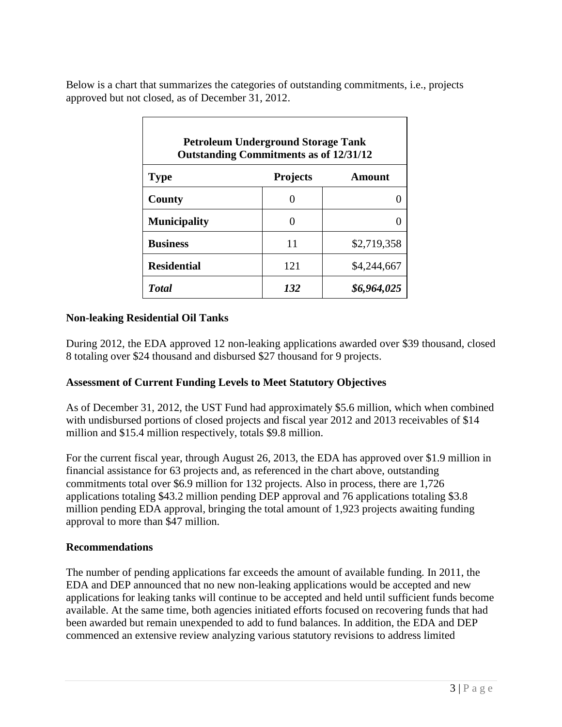Below is a chart that summarizes the categories of outstanding commitments, i.e., projects approved but not closed, as of December 31, 2012.

| <b>Petroleum Underground Storage Tank</b><br><b>Outstanding Commitments as of 12/31/12</b> |                   |             |  |  |  |  |  |  |  |
|--------------------------------------------------------------------------------------------|-------------------|-------------|--|--|--|--|--|--|--|
| <b>Type</b>                                                                                | <b>Projects</b>   | Amount      |  |  |  |  |  |  |  |
| County                                                                                     |                   |             |  |  |  |  |  |  |  |
| <b>Municipality</b>                                                                        | $\mathbf{\Omega}$ |             |  |  |  |  |  |  |  |
| <b>Business</b>                                                                            | 11                | \$2,719,358 |  |  |  |  |  |  |  |
| <b>Residential</b>                                                                         | 121               | \$4,244,667 |  |  |  |  |  |  |  |
| <b>T</b> otal                                                                              | 132               | \$6,964,025 |  |  |  |  |  |  |  |

### **Non-leaking Residential Oil Tanks**

During 2012, the EDA approved 12 non-leaking applications awarded over \$39 thousand, closed 8 totaling over \$24 thousand and disbursed \$27 thousand for 9 projects.

### **Assessment of Current Funding Levels to Meet Statutory Objectives**

As of December 31, 2012, the UST Fund had approximately \$5.6 million, which when combined with undisbursed portions of closed projects and fiscal year 2012 and 2013 receivables of \$14 million and \$15.4 million respectively, totals \$9.8 million.

For the current fiscal year, through August 26, 2013, the EDA has approved over \$1.9 million in financial assistance for 63 projects and, as referenced in the chart above, outstanding commitments total over \$6.9 million for 132 projects. Also in process, there are 1,726 applications totaling \$43.2 million pending DEP approval and 76 applications totaling \$3.8 million pending EDA approval, bringing the total amount of 1,923 projects awaiting funding approval to more than \$47 million.

#### **Recommendations**

The number of pending applications far exceeds the amount of available funding. In 2011, the EDA and DEP announced that no new non-leaking applications would be accepted and new applications for leaking tanks will continue to be accepted and held until sufficient funds become available. At the same time, both agencies initiated efforts focused on recovering funds that had been awarded but remain unexpended to add to fund balances. In addition, the EDA and DEP commenced an extensive review analyzing various statutory revisions to address limited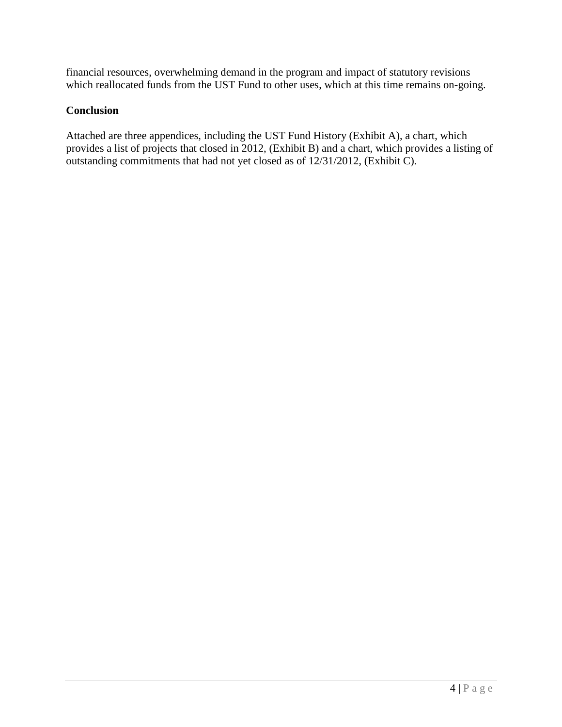financial resources, overwhelming demand in the program and impact of statutory revisions which reallocated funds from the UST Fund to other uses, which at this time remains on-going.

## **Conclusion**

Attached are three appendices, including the UST Fund History (Exhibit A), a chart, which provides a list of projects that closed in 2012, (Exhibit B) and a chart, which provides a listing of outstanding commitments that had not yet closed as of 12/31/2012, (Exhibit C).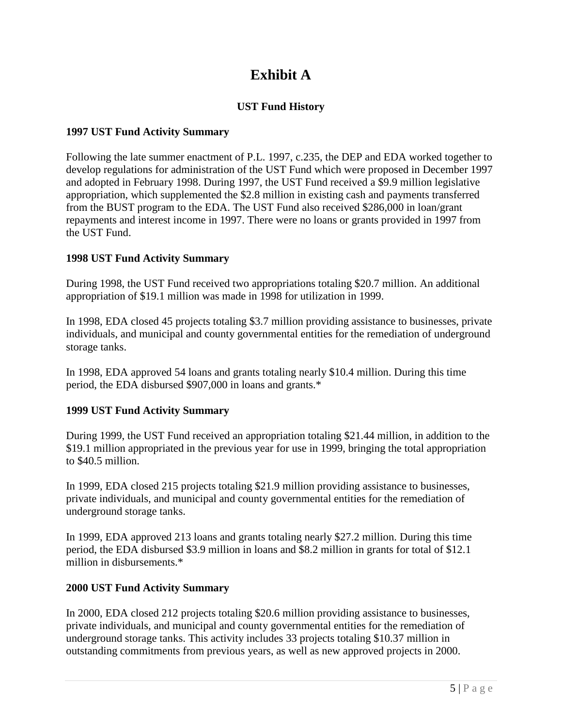# **Exhibit A**

# **UST Fund History**

### **1997 UST Fund Activity Summary**

Following the late summer enactment of P.L. 1997, c.235, the DEP and EDA worked together to develop regulations for administration of the UST Fund which were proposed in December 1997 and adopted in February 1998. During 1997, the UST Fund received a \$9.9 million legislative appropriation, which supplemented the \$2.8 million in existing cash and payments transferred from the BUST program to the EDA. The UST Fund also received \$286,000 in loan/grant repayments and interest income in 1997. There were no loans or grants provided in 1997 from the UST Fund.

#### **1998 UST Fund Activity Summary**

During 1998, the UST Fund received two appropriations totaling \$20.7 million. An additional appropriation of \$19.1 million was made in 1998 for utilization in 1999.

In 1998, EDA closed 45 projects totaling \$3.7 million providing assistance to businesses, private individuals, and municipal and county governmental entities for the remediation of underground storage tanks.

In 1998, EDA approved 54 loans and grants totaling nearly \$10.4 million. During this time period, the EDA disbursed \$907,000 in loans and grants.\*

#### **1999 UST Fund Activity Summary**

During 1999, the UST Fund received an appropriation totaling \$21.44 million, in addition to the \$19.1 million appropriated in the previous year for use in 1999, bringing the total appropriation to \$40.5 million.

In 1999, EDA closed 215 projects totaling \$21.9 million providing assistance to businesses, private individuals, and municipal and county governmental entities for the remediation of underground storage tanks.

In 1999, EDA approved 213 loans and grants totaling nearly \$27.2 million. During this time period, the EDA disbursed \$3.9 million in loans and \$8.2 million in grants for total of \$12.1 million in disbursements.\*

### **2000 UST Fund Activity Summary**

In 2000, EDA closed 212 projects totaling \$20.6 million providing assistance to businesses, private individuals, and municipal and county governmental entities for the remediation of underground storage tanks. This activity includes 33 projects totaling \$10.37 million in outstanding commitments from previous years, as well as new approved projects in 2000.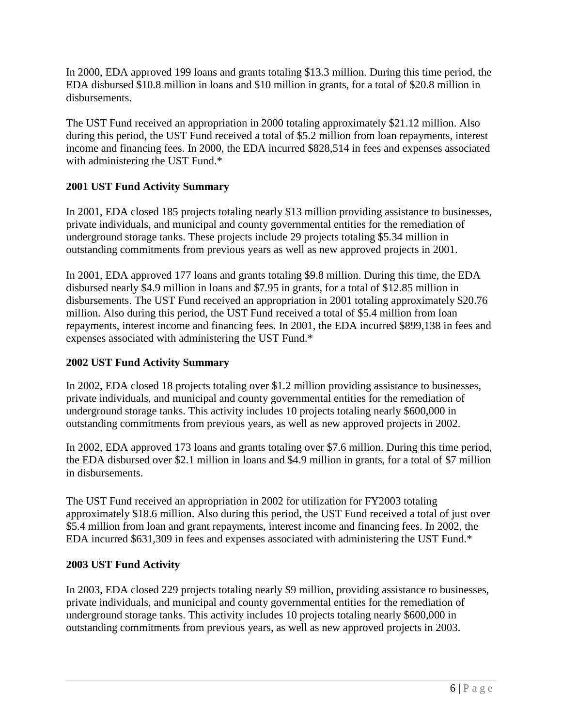In 2000, EDA approved 199 loans and grants totaling \$13.3 million. During this time period, the EDA disbursed \$10.8 million in loans and \$10 million in grants, for a total of \$20.8 million in disbursements.

The UST Fund received an appropriation in 2000 totaling approximately \$21.12 million. Also during this period, the UST Fund received a total of \$5.2 million from loan repayments, interest income and financing fees. In 2000, the EDA incurred \$828,514 in fees and expenses associated with administering the UST Fund.\*

## **2001 UST Fund Activity Summary**

In 2001, EDA closed 185 projects totaling nearly \$13 million providing assistance to businesses, private individuals, and municipal and county governmental entities for the remediation of underground storage tanks. These projects include 29 projects totaling \$5.34 million in outstanding commitments from previous years as well as new approved projects in 2001.

In 2001, EDA approved 177 loans and grants totaling \$9.8 million. During this time, the EDA disbursed nearly \$4.9 million in loans and \$7.95 in grants, for a total of \$12.85 million in disbursements. The UST Fund received an appropriation in 2001 totaling approximately \$20.76 million. Also during this period, the UST Fund received a total of \$5.4 million from loan repayments, interest income and financing fees. In 2001, the EDA incurred \$899,138 in fees and expenses associated with administering the UST Fund.\*

### **2002 UST Fund Activity Summary**

In 2002, EDA closed 18 projects totaling over \$1.2 million providing assistance to businesses, private individuals, and municipal and county governmental entities for the remediation of underground storage tanks. This activity includes 10 projects totaling nearly \$600,000 in outstanding commitments from previous years, as well as new approved projects in 2002.

In 2002, EDA approved 173 loans and grants totaling over \$7.6 million. During this time period, the EDA disbursed over \$2.1 million in loans and \$4.9 million in grants, for a total of \$7 million in disbursements.

The UST Fund received an appropriation in 2002 for utilization for FY2003 totaling approximately \$18.6 million. Also during this period, the UST Fund received a total of just over \$5.4 million from loan and grant repayments, interest income and financing fees. In 2002, the EDA incurred \$631,309 in fees and expenses associated with administering the UST Fund.\*

### **2003 UST Fund Activity**

In 2003, EDA closed 229 projects totaling nearly \$9 million, providing assistance to businesses, private individuals, and municipal and county governmental entities for the remediation of underground storage tanks. This activity includes 10 projects totaling nearly \$600,000 in outstanding commitments from previous years, as well as new approved projects in 2003.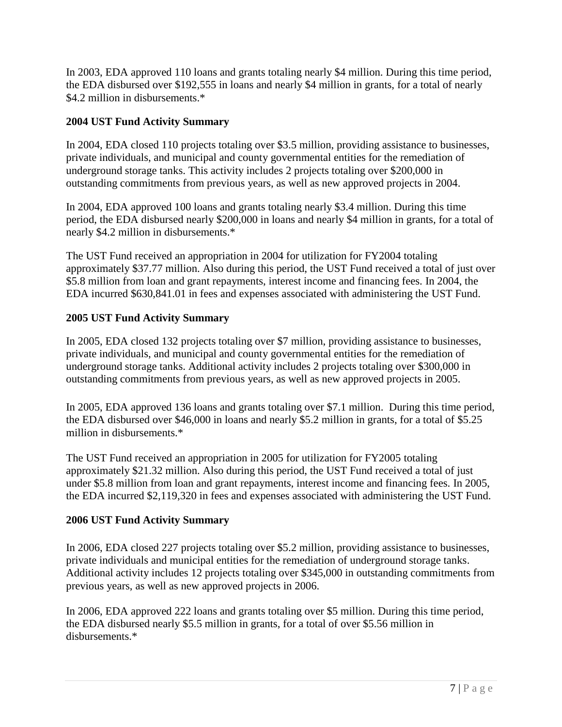In 2003, EDA approved 110 loans and grants totaling nearly \$4 million. During this time period, the EDA disbursed over \$192,555 in loans and nearly \$4 million in grants, for a total of nearly \$4.2 million in disbursements.\*

## **2004 UST Fund Activity Summary**

In 2004, EDA closed 110 projects totaling over \$3.5 million, providing assistance to businesses, private individuals, and municipal and county governmental entities for the remediation of underground storage tanks. This activity includes 2 projects totaling over \$200,000 in outstanding commitments from previous years, as well as new approved projects in 2004.

In 2004, EDA approved 100 loans and grants totaling nearly \$3.4 million. During this time period, the EDA disbursed nearly \$200,000 in loans and nearly \$4 million in grants, for a total of nearly \$4.2 million in disbursements.\*

The UST Fund received an appropriation in 2004 for utilization for FY2004 totaling approximately \$37.77 million. Also during this period, the UST Fund received a total of just over \$5.8 million from loan and grant repayments, interest income and financing fees. In 2004, the EDA incurred \$630,841.01 in fees and expenses associated with administering the UST Fund.

### **2005 UST Fund Activity Summary**

In 2005, EDA closed 132 projects totaling over \$7 million, providing assistance to businesses, private individuals, and municipal and county governmental entities for the remediation of underground storage tanks. Additional activity includes 2 projects totaling over \$300,000 in outstanding commitments from previous years, as well as new approved projects in 2005.

In 2005, EDA approved 136 loans and grants totaling over \$7.1 million. During this time period, the EDA disbursed over \$46,000 in loans and nearly \$5.2 million in grants, for a total of \$5.25 million in disbursements.\*

The UST Fund received an appropriation in 2005 for utilization for FY2005 totaling approximately \$21.32 million. Also during this period, the UST Fund received a total of just under \$5.8 million from loan and grant repayments, interest income and financing fees. In 2005, the EDA incurred \$2,119,320 in fees and expenses associated with administering the UST Fund.

### **2006 UST Fund Activity Summary**

In 2006, EDA closed 227 projects totaling over \$5.2 million, providing assistance to businesses, private individuals and municipal entities for the remediation of underground storage tanks. Additional activity includes 12 projects totaling over \$345,000 in outstanding commitments from previous years, as well as new approved projects in 2006.

In 2006, EDA approved 222 loans and grants totaling over \$5 million. During this time period, the EDA disbursed nearly \$5.5 million in grants, for a total of over \$5.56 million in disbursements.\*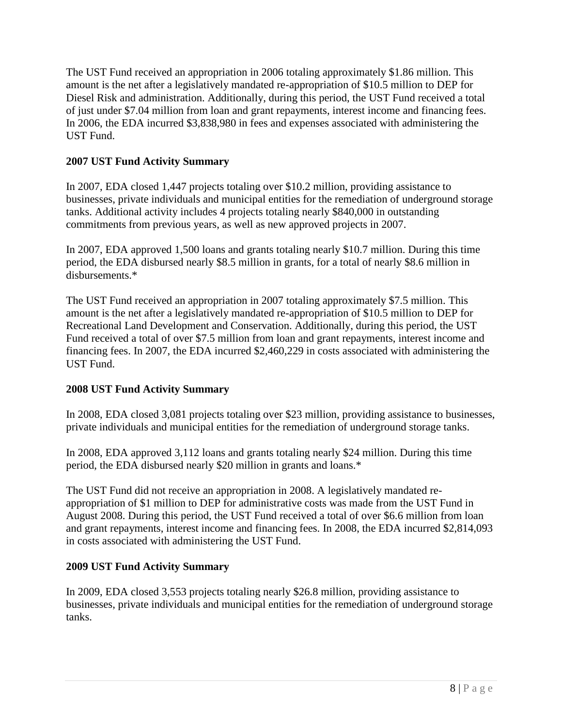The UST Fund received an appropriation in 2006 totaling approximately \$1.86 million. This amount is the net after a legislatively mandated re-appropriation of \$10.5 million to DEP for Diesel Risk and administration. Additionally, during this period, the UST Fund received a total of just under \$7.04 million from loan and grant repayments, interest income and financing fees. In 2006, the EDA incurred \$3,838,980 in fees and expenses associated with administering the UST Fund.

### **2007 UST Fund Activity Summary**

In 2007, EDA closed 1,447 projects totaling over \$10.2 million, providing assistance to businesses, private individuals and municipal entities for the remediation of underground storage tanks. Additional activity includes 4 projects totaling nearly \$840,000 in outstanding commitments from previous years, as well as new approved projects in 2007.

In 2007, EDA approved 1,500 loans and grants totaling nearly \$10.7 million. During this time period, the EDA disbursed nearly \$8.5 million in grants, for a total of nearly \$8.6 million in disbursements.\*

The UST Fund received an appropriation in 2007 totaling approximately \$7.5 million. This amount is the net after a legislatively mandated re-appropriation of \$10.5 million to DEP for Recreational Land Development and Conservation. Additionally, during this period, the UST Fund received a total of over \$7.5 million from loan and grant repayments, interest income and financing fees. In 2007, the EDA incurred \$2,460,229 in costs associated with administering the UST Fund.

### **2008 UST Fund Activity Summary**

In 2008, EDA closed 3,081 projects totaling over \$23 million, providing assistance to businesses, private individuals and municipal entities for the remediation of underground storage tanks.

In 2008, EDA approved 3,112 loans and grants totaling nearly \$24 million. During this time period, the EDA disbursed nearly \$20 million in grants and loans.\*

The UST Fund did not receive an appropriation in 2008. A legislatively mandated reappropriation of \$1 million to DEP for administrative costs was made from the UST Fund in August 2008. During this period, the UST Fund received a total of over \$6.6 million from loan and grant repayments, interest income and financing fees. In 2008, the EDA incurred \$2,814,093 in costs associated with administering the UST Fund.

### **2009 UST Fund Activity Summary**

In 2009, EDA closed 3,553 projects totaling nearly \$26.8 million, providing assistance to businesses, private individuals and municipal entities for the remediation of underground storage tanks.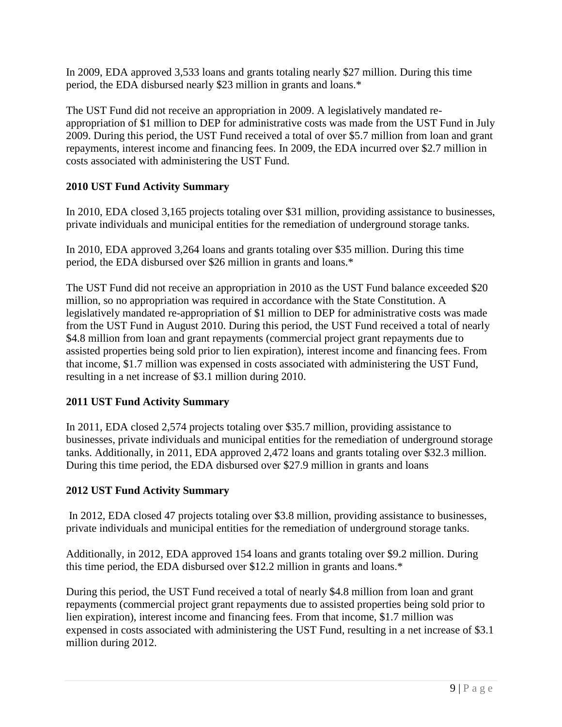In 2009, EDA approved 3,533 loans and grants totaling nearly \$27 million. During this time period, the EDA disbursed nearly \$23 million in grants and loans.\*

The UST Fund did not receive an appropriation in 2009. A legislatively mandated reappropriation of \$1 million to DEP for administrative costs was made from the UST Fund in July 2009. During this period, the UST Fund received a total of over \$5.7 million from loan and grant repayments, interest income and financing fees. In 2009, the EDA incurred over \$2.7 million in costs associated with administering the UST Fund.

# **2010 UST Fund Activity Summary**

In 2010, EDA closed 3,165 projects totaling over \$31 million, providing assistance to businesses, private individuals and municipal entities for the remediation of underground storage tanks.

In 2010, EDA approved 3,264 loans and grants totaling over \$35 million. During this time period, the EDA disbursed over \$26 million in grants and loans.\*

The UST Fund did not receive an appropriation in 2010 as the UST Fund balance exceeded \$20 million, so no appropriation was required in accordance with the State Constitution. A legislatively mandated re-appropriation of \$1 million to DEP for administrative costs was made from the UST Fund in August 2010. During this period, the UST Fund received a total of nearly \$4.8 million from loan and grant repayments (commercial project grant repayments due to assisted properties being sold prior to lien expiration), interest income and financing fees. From that income, \$1.7 million was expensed in costs associated with administering the UST Fund, resulting in a net increase of \$3.1 million during 2010.

# **2011 UST Fund Activity Summary**

In 2011, EDA closed 2,574 projects totaling over \$35.7 million, providing assistance to businesses, private individuals and municipal entities for the remediation of underground storage tanks. Additionally, in 2011, EDA approved 2,472 loans and grants totaling over \$32.3 million. During this time period, the EDA disbursed over \$27.9 million in grants and loans

# **2012 UST Fund Activity Summary**

In 2012, EDA closed 47 projects totaling over \$3.8 million, providing assistance to businesses, private individuals and municipal entities for the remediation of underground storage tanks.

Additionally, in 2012, EDA approved 154 loans and grants totaling over \$9.2 million. During this time period, the EDA disbursed over \$12.2 million in grants and loans.\*

During this period, the UST Fund received a total of nearly \$4.8 million from loan and grant repayments (commercial project grant repayments due to assisted properties being sold prior to lien expiration), interest income and financing fees. From that income, \$1.7 million was expensed in costs associated with administering the UST Fund, resulting in a net increase of \$3.1 million during 2012.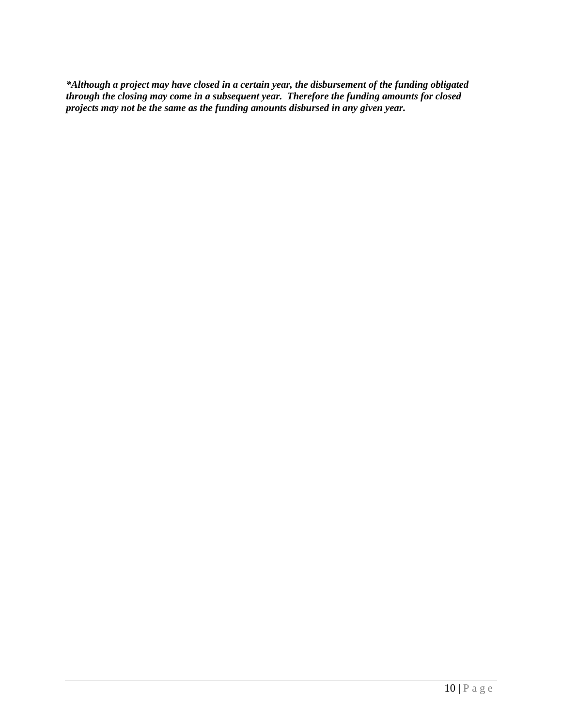*\*Although a project may have closed in a certain year, the disbursement of the funding obligated through the closing may come in a subsequent year. Therefore the funding amounts for closed projects may not be the same as the funding amounts disbursed in any given year.*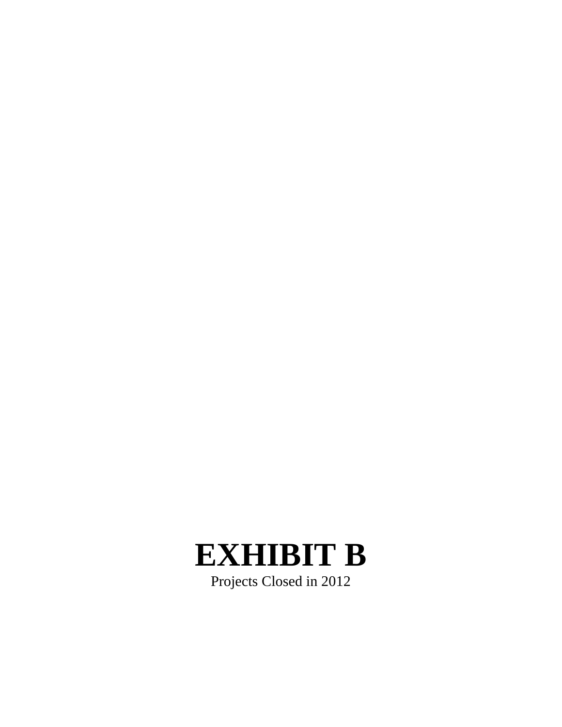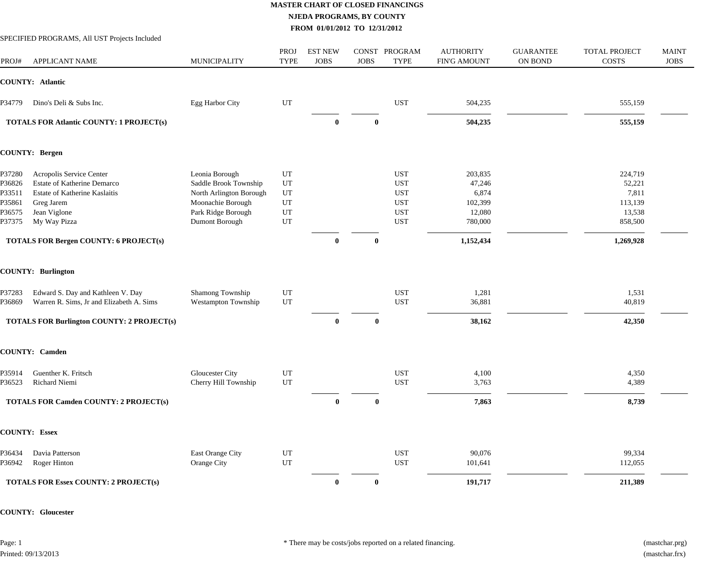|        | SPECIFIED PROGRAMS, All UST Projects Included     |                            |                            |                               |                             |                        |                                         |                                    |                                      |                             |
|--------|---------------------------------------------------|----------------------------|----------------------------|-------------------------------|-----------------------------|------------------------|-----------------------------------------|------------------------------------|--------------------------------------|-----------------------------|
| PROJ#  | <b>APPLICANT NAME</b>                             | <b>MUNICIPALITY</b>        | <b>PROJ</b><br><b>TYPE</b> | <b>EST NEW</b><br><b>JOBS</b> | <b>CONST</b><br><b>JOBS</b> | PROGRAM<br><b>TYPE</b> | <b>AUTHORITY</b><br><b>FIN'G AMOUNT</b> | <b>GUARANTEE</b><br><b>ON BOND</b> | <b>TOTAL PROJECT</b><br><b>COSTS</b> | <b>MAINT</b><br><b>JOBS</b> |
|        | <b>COUNTY: Atlantic</b>                           |                            |                            |                               |                             |                        |                                         |                                    |                                      |                             |
| P34779 | Dino's Deli & Subs Inc.                           | Egg Harbor City            | UT                         |                               |                             | <b>UST</b>             | 504,235                                 |                                    | 555,159                              |                             |
|        | <b>TOTALS FOR Atlantic COUNTY: 1 PROJECT(s)</b>   |                            |                            | $\bf{0}$                      | $\mathbf 0$                 |                        | 504,235                                 |                                    | 555,159                              |                             |
|        | <b>COUNTY: Bergen</b>                             |                            |                            |                               |                             |                        |                                         |                                    |                                      |                             |
| P37280 | Acropolis Service Center                          | Leonia Borough             | UT                         |                               |                             | <b>UST</b>             | 203,835                                 |                                    | 224,719                              |                             |
| P36826 | Estate of Katherine Demarco                       | Saddle Brook Township      | UT                         |                               |                             | <b>UST</b>             | 47,246                                  |                                    | 52,221                               |                             |
| P33511 | Estate of Katherine Kaslaitis                     | North Arlington Borough    | UT                         |                               |                             | <b>UST</b>             | 6,874                                   |                                    | 7,811                                |                             |
| P35861 | Greg Jarem                                        | Moonachie Borough          | UT                         |                               |                             | <b>UST</b>             | 102,399                                 |                                    | 113,139                              |                             |
| P36575 | Jean Viglone                                      | Park Ridge Borough         | UT                         |                               |                             | <b>UST</b>             | 12,080                                  |                                    | 13,538                               |                             |
| P37375 | My Way Pizza                                      | Dumont Borough             | $_{\rm UT}$                |                               |                             | <b>UST</b>             | 780,000                                 |                                    | 858,500                              |                             |
|        | <b>TOTALS FOR Bergen COUNTY: 6 PROJECT(s)</b>     |                            |                            | $\mathbf{0}$                  | $\bf{0}$                    |                        | 1,152,434                               |                                    | 1,269,928                            |                             |
|        | <b>COUNTY: Burlington</b>                         |                            |                            |                               |                             |                        |                                         |                                    |                                      |                             |
| P37283 | Edward S. Day and Kathleen V. Day                 | Shamong Township           | UT                         |                               |                             | <b>UST</b>             | 1,281                                   |                                    | 1,531                                |                             |
| P36869 | Warren R. Sims, Jr and Elizabeth A. Sims          | <b>Westampton Township</b> | UT                         |                               |                             | <b>UST</b>             | 36,881                                  |                                    | 40,819                               |                             |
|        | <b>TOTALS FOR Burlington COUNTY: 2 PROJECT(s)</b> |                            |                            | $\mathbf{0}$                  | $\mathbf{0}$                |                        | 38,162                                  |                                    | 42,350                               |                             |
|        | <b>COUNTY: Camden</b>                             |                            |                            |                               |                             |                        |                                         |                                    |                                      |                             |
| P35914 | Guenther K. Fritsch                               | Gloucester City            | UT                         |                               |                             | <b>UST</b>             | 4,100                                   |                                    | 4,350                                |                             |
| P36523 | Richard Niemi                                     | Cherry Hill Township       | UT                         |                               |                             | <b>UST</b>             | 3,763                                   |                                    | 4,389                                |                             |
|        | <b>TOTALS FOR Camden COUNTY: 2 PROJECT(s)</b>     |                            |                            | $\bf{0}$                      | $\bf{0}$                    |                        | 7,863                                   |                                    | 8,739                                |                             |
|        | <b>COUNTY: Essex</b>                              |                            |                            |                               |                             |                        |                                         |                                    |                                      |                             |
| P36434 | Davia Patterson                                   | East Orange City           | UT                         |                               |                             | <b>UST</b>             | 90,076                                  |                                    | 99,334                               |                             |
| P36942 | Roger Hinton                                      | Orange City                | $_{\rm UT}$                |                               |                             | <b>UST</b>             | 101,641                                 |                                    | 112,055                              |                             |
|        | <b>TOTALS FOR Essex COUNTY: 2 PROJECT(s)</b>      |                            |                            | $\bf{0}$                      | $\bf{0}$                    |                        | 191,717                                 |                                    | 211,389                              |                             |

**COUNTY: Gloucester**

Page: 1 Printed: 09/13/2013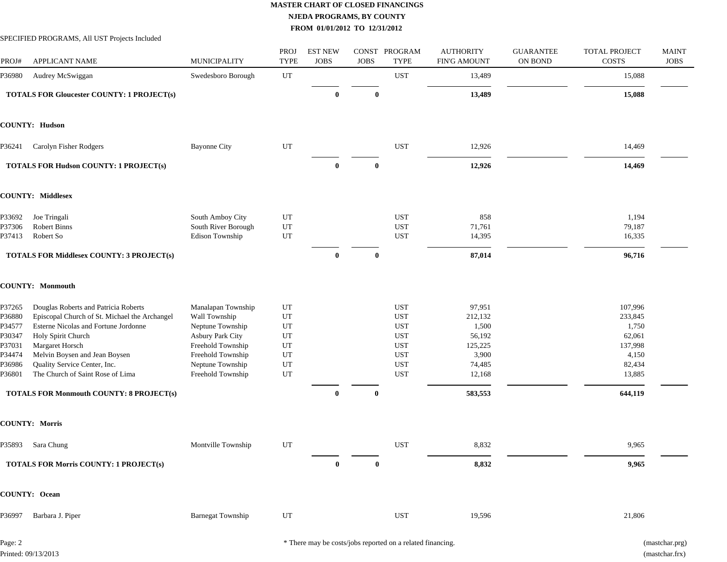SPECIFIED PROGRAMS, All UST Projects Included

| PROJ#                                                                        | APPLICANT NAME                                                                                                                                                                                                                                                                                                                 | MUNICIPALITY                                                                                                                                                   | PROJ<br><b>TYPE</b>                                                             | <b>EST NEW</b><br><b>JOBS</b> | <b>JOBS</b> | CONST PROGRAM<br><b>TYPE</b>                                                                                 | <b>AUTHORITY</b><br><b>FIN'G AMOUNT</b>                                                 | <b>GUARANTEE</b><br>ON BOND | TOTAL PROJECT<br>COSTS                                                                   | <b>MAINT</b><br><b>JOBS</b> |
|------------------------------------------------------------------------------|--------------------------------------------------------------------------------------------------------------------------------------------------------------------------------------------------------------------------------------------------------------------------------------------------------------------------------|----------------------------------------------------------------------------------------------------------------------------------------------------------------|---------------------------------------------------------------------------------|-------------------------------|-------------|--------------------------------------------------------------------------------------------------------------|-----------------------------------------------------------------------------------------|-----------------------------|------------------------------------------------------------------------------------------|-----------------------------|
| P36980                                                                       | Audrey McSwiggan                                                                                                                                                                                                                                                                                                               | Swedesboro Borough                                                                                                                                             | UT                                                                              |                               |             | <b>UST</b>                                                                                                   | 13,489                                                                                  |                             | 15,088                                                                                   |                             |
|                                                                              | <b>TOTALS FOR Gloucester COUNTY: 1 PROJECT(s)</b>                                                                                                                                                                                                                                                                              |                                                                                                                                                                |                                                                                 | $\bf{0}$                      | $\bf{0}$    |                                                                                                              | 13,489                                                                                  |                             | 15,088                                                                                   |                             |
|                                                                              | <b>COUNTY: Hudson</b>                                                                                                                                                                                                                                                                                                          |                                                                                                                                                                |                                                                                 |                               |             |                                                                                                              |                                                                                         |                             |                                                                                          |                             |
| P36241                                                                       | Carolyn Fisher Rodgers                                                                                                                                                                                                                                                                                                         | <b>Bayonne City</b>                                                                                                                                            | UT                                                                              |                               |             | <b>UST</b>                                                                                                   | 12,926                                                                                  |                             | 14,469                                                                                   |                             |
|                                                                              | <b>TOTALS FOR Hudson COUNTY: 1 PROJECT(s)</b>                                                                                                                                                                                                                                                                                  |                                                                                                                                                                |                                                                                 | $\bf{0}$                      | $\bf{0}$    |                                                                                                              | 12,926                                                                                  |                             | 14,469                                                                                   |                             |
|                                                                              | <b>COUNTY: Middlesex</b>                                                                                                                                                                                                                                                                                                       |                                                                                                                                                                |                                                                                 |                               |             |                                                                                                              |                                                                                         |                             |                                                                                          |                             |
| P33692<br>P37306<br>P37413                                                   | Joe Tringali<br><b>Robert Binns</b><br>Robert So                                                                                                                                                                                                                                                                               | South Amboy City<br>South River Borough<br><b>Edison Township</b>                                                                                              | UT<br>${\rm UT}$<br>$_{\rm UT}$                                                 |                               |             | <b>UST</b><br><b>UST</b><br><b>UST</b>                                                                       | 858<br>71,761<br>14,395                                                                 |                             | 1,194<br>79,187<br>16,335                                                                |                             |
|                                                                              | <b>TOTALS FOR Middlesex COUNTY: 3 PROJECT(s)</b>                                                                                                                                                                                                                                                                               |                                                                                                                                                                |                                                                                 | $\bf{0}$                      | $\bf{0}$    |                                                                                                              | 87,014                                                                                  |                             | 96,716                                                                                   |                             |
|                                                                              | <b>COUNTY: Monmouth</b>                                                                                                                                                                                                                                                                                                        |                                                                                                                                                                |                                                                                 |                               |             |                                                                                                              |                                                                                         |                             |                                                                                          |                             |
| P37265<br>P36880<br>P34577<br>P30347<br>P37031<br>P34474<br>P36986<br>P36801 | Douglas Roberts and Patricia Roberts<br>Episcopal Church of St. Michael the Archangel<br>Esterne Nicolas and Fortune Jordonne<br>Holy Spirit Church<br>Margaret Horsch<br>Melvin Boysen and Jean Boysen<br>Quality Service Center, Inc.<br>The Church of Saint Rose of Lima<br><b>TOTALS FOR Monmouth COUNTY: 8 PROJECT(s)</b> | Manalapan Township<br>Wall Township<br>Neptune Township<br>Asbury Park City<br>Freehold Township<br>Freehold Township<br>Neptune Township<br>Freehold Township | UT<br>UT<br>$_{\rm UT}$<br>UT<br>UT<br>$_{\rm UT}$<br>$_{\rm UT}$<br>${\rm UT}$ | $\bf{0}$                      | $\bf{0}$    | <b>UST</b><br><b>UST</b><br><b>UST</b><br><b>UST</b><br><b>UST</b><br><b>UST</b><br><b>UST</b><br><b>UST</b> | 97,951<br>212,132<br>1,500<br>56,192<br>125,225<br>3,900<br>74,485<br>12,168<br>583,553 |                             | 107,996<br>233,845<br>1,750<br>62,061<br>137,998<br>4,150<br>82,434<br>13,885<br>644,119 |                             |
|                                                                              | <b>COUNTY: Morris</b>                                                                                                                                                                                                                                                                                                          |                                                                                                                                                                |                                                                                 |                               |             |                                                                                                              |                                                                                         |                             |                                                                                          |                             |
| P35893                                                                       | Sara Chung                                                                                                                                                                                                                                                                                                                     | Montville Township                                                                                                                                             | UT                                                                              |                               |             | <b>UST</b>                                                                                                   | 8,832                                                                                   |                             | 9,965                                                                                    |                             |
|                                                                              | <b>TOTALS FOR Morris COUNTY: 1 PROJECT(s)</b>                                                                                                                                                                                                                                                                                  |                                                                                                                                                                |                                                                                 | $\bf{0}$                      | $\bf{0}$    |                                                                                                              | 8,832                                                                                   |                             | 9,965                                                                                    |                             |
|                                                                              | <b>COUNTY: Ocean</b>                                                                                                                                                                                                                                                                                                           |                                                                                                                                                                |                                                                                 |                               |             |                                                                                                              |                                                                                         |                             |                                                                                          |                             |
| P36997                                                                       | Barbara J. Piper                                                                                                                                                                                                                                                                                                               | <b>Barnegat Township</b>                                                                                                                                       | $_{\rm UT}$                                                                     |                               |             | <b>UST</b>                                                                                                   | 19,596                                                                                  |                             | 21,806                                                                                   |                             |

Page: 2 Printed: 09/13/2013 \* There may be costs/jobs reported on a related financing. (mastchar.prg)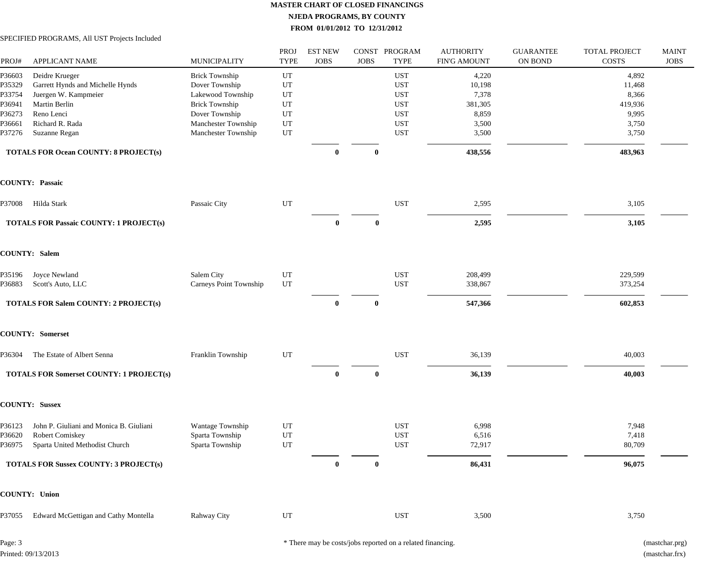SPECIFIED PROGRAMS, All UST Projects Included

| PROJ#                                                              | <b>APPLICANT NAME</b>                                                                                                                         | MUNICIPALITY                                                                                                                                          | PROJ<br><b>TYPE</b>                             | <b>EST NEW</b><br><b>JOBS</b> | <b>JOBS</b> | CONST PROGRAM<br><b>TYPE</b>                                                                   | <b>AUTHORITY</b><br><b>FIN'G AMOUNT</b>                        | <b>GUARANTEE</b><br>ON BOND | <b>TOTAL PROJECT</b><br>COSTS                                  | <b>MAINT</b><br><b>JOBS</b> |
|--------------------------------------------------------------------|-----------------------------------------------------------------------------------------------------------------------------------------------|-------------------------------------------------------------------------------------------------------------------------------------------------------|-------------------------------------------------|-------------------------------|-------------|------------------------------------------------------------------------------------------------|----------------------------------------------------------------|-----------------------------|----------------------------------------------------------------|-----------------------------|
| P36603<br>P35329<br>P33754<br>P36941<br>P36273<br>P36661<br>P37276 | Deidre Krueger<br>Garrett Hynds and Michelle Hynds<br>Juergen W. Kampmeier<br>Martin Berlin<br>Reno Lenci<br>Richard R. Rada<br>Suzanne Regan | <b>Brick Township</b><br>Dover Township<br>Lakewood Township<br><b>Brick Township</b><br>Dover Township<br>Manchester Township<br>Manchester Township | UT<br>UT<br>UT<br>UT<br>UT<br>$_{\rm UT}$<br>UT |                               |             | <b>UST</b><br><b>UST</b><br><b>UST</b><br><b>UST</b><br><b>UST</b><br><b>UST</b><br><b>UST</b> | 4,220<br>10,198<br>7,378<br>381,305<br>8,859<br>3,500<br>3,500 |                             | 4,892<br>11,468<br>8,366<br>419,936<br>9,995<br>3,750<br>3,750 |                             |
|                                                                    | <b>TOTALS FOR Ocean COUNTY: 8 PROJECT(s)</b>                                                                                                  |                                                                                                                                                       |                                                 | $\bf{0}$                      | $\mathbf 0$ |                                                                                                | 438,556                                                        |                             | 483,963                                                        |                             |
|                                                                    | <b>COUNTY: Passaic</b>                                                                                                                        |                                                                                                                                                       |                                                 |                               |             |                                                                                                |                                                                |                             |                                                                |                             |
| P37008                                                             | Hilda Stark                                                                                                                                   | Passaic City                                                                                                                                          | UT                                              |                               |             | <b>UST</b>                                                                                     | 2,595                                                          |                             | 3,105                                                          |                             |
|                                                                    | <b>TOTALS FOR Passaic COUNTY: 1 PROJECT(s)</b>                                                                                                |                                                                                                                                                       |                                                 | $\bf{0}$                      | $\bf{0}$    |                                                                                                | 2,595                                                          |                             | 3,105                                                          |                             |
|                                                                    | <b>COUNTY: Salem</b>                                                                                                                          |                                                                                                                                                       |                                                 |                               |             |                                                                                                |                                                                |                             |                                                                |                             |
| P35196<br>P36883                                                   | Joyce Newland<br>Scott's Auto, LLC                                                                                                            | Salem City<br>Carneys Point Township                                                                                                                  | UT<br>UT                                        |                               |             | <b>UST</b><br><b>UST</b>                                                                       | 208,499<br>338,867                                             |                             | 229,599<br>373,254                                             |                             |
|                                                                    | <b>TOTALS FOR Salem COUNTY: 2 PROJECT(s)</b>                                                                                                  |                                                                                                                                                       |                                                 | $\mathbf{0}$                  | $\bf{0}$    |                                                                                                | 547,366                                                        |                             | 602,853                                                        |                             |
|                                                                    | <b>COUNTY: Somerset</b>                                                                                                                       |                                                                                                                                                       |                                                 |                               |             |                                                                                                |                                                                |                             |                                                                |                             |
| P36304                                                             | The Estate of Albert Senna                                                                                                                    | Franklin Township                                                                                                                                     | UT                                              |                               |             | <b>UST</b>                                                                                     | 36,139                                                         |                             | 40,003                                                         |                             |
|                                                                    | <b>TOTALS FOR Somerset COUNTY: 1 PROJECT(s)</b>                                                                                               |                                                                                                                                                       |                                                 | $\mathbf{0}$                  | $\bf{0}$    |                                                                                                | 36,139                                                         |                             | 40,003                                                         |                             |
|                                                                    | <b>COUNTY: Sussex</b>                                                                                                                         |                                                                                                                                                       |                                                 |                               |             |                                                                                                |                                                                |                             |                                                                |                             |
| P36123<br>P36620<br>P36975                                         | John P. Giuliani and Monica B. Giuliani<br><b>Robert Comiskey</b><br>Sparta United Methodist Church                                           | Wantage Township<br>Sparta Township<br>Sparta Township                                                                                                | $_{\rm UT}$<br>UT<br>$_{\rm UT}$                |                               |             | <b>UST</b><br><b>UST</b><br><b>UST</b>                                                         | 6,998<br>6,516<br>72,917                                       |                             | 7,948<br>7,418<br>80,709                                       |                             |
|                                                                    | <b>TOTALS FOR Sussex COUNTY: 3 PROJECT(s)</b>                                                                                                 |                                                                                                                                                       |                                                 | $\bf{0}$                      | $\bf{0}$    |                                                                                                | 86,431                                                         |                             | 96,075                                                         |                             |
|                                                                    | <b>COUNTY: Union</b>                                                                                                                          |                                                                                                                                                       |                                                 |                               |             |                                                                                                |                                                                |                             |                                                                |                             |
| P37055                                                             | Edward McGettigan and Cathy Montella                                                                                                          | Rahway City                                                                                                                                           | UT                                              |                               |             | <b>UST</b>                                                                                     | 3,500                                                          |                             | 3,750                                                          |                             |
|                                                                    |                                                                                                                                               |                                                                                                                                                       |                                                 |                               |             |                                                                                                |                                                                |                             |                                                                |                             |

Page: 3 Printed: 09/13/2013 \* There may be costs/jobs reported on a related financing. (mastchar.prg)